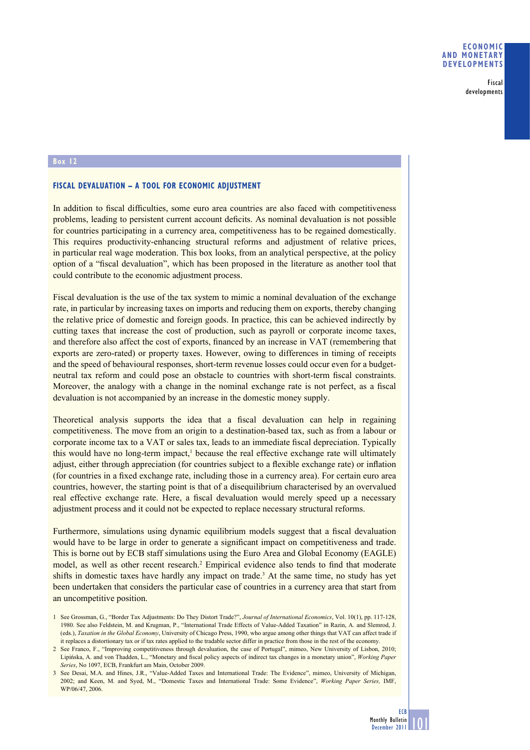Fiscal developments

## **Box 12**

## **FISCAL DEVALUATION – A TOOL FOR ECONOMIC ADJUSTMENT**

In addition to fiscal difficulties, some euro area countries are also faced with competitiveness problems, leading to persistent current account deficits. As nominal devaluation is not possible for countries participating in a currency area, competitiveness has to be regained domestically. This requires productivity-enhancing structural reforms and adjustment of relative prices, in particular real wage moderation. This box looks, from an analytical perspective, at the policy option of a "fiscal devaluation", which has been proposed in the literature as another tool that could contribute to the economic adjustment process.

Fiscal devaluation is the use of the tax system to mimic a nominal devaluation of the exchange rate, in particular by increasing taxes on imports and reducing them on exports, thereby changing the relative price of domestic and foreign goods. In practice, this can be achieved indirectly by cutting taxes that increase the cost of production, such as payroll or corporate income taxes, and therefore also affect the cost of exports, financed by an increase in VAT (remembering that exports are zero-rated) or property taxes. However, owing to differences in timing of receipts and the speed of behavioural responses, short-term revenue losses could occur even for a budgetneutral tax reform and could pose an obstacle to countries with short-term fiscal constraints. Moreover, the analogy with a change in the nominal exchange rate is not perfect, as a fiscal devaluation is not accompanied by an increase in the domestic money supply.

Theoretical analysis supports the idea that a fiscal devaluation can help in regaining competitiveness. The move from an origin to a destination-based tax, such as from a labour or corporate income tax to a VAT or sales tax, leads to an immediate fiscal depreciation. Typically this would have no long-term impact, $<sup>1</sup>$  because the real effective exchange rate will ultimately</sup> adjust, either through appreciation (for countries subject to a flexible exchange rate) or inflation (for countries in a fixed exchange rate, including those in a currency area). For certain euro area countries, however, the starting point is that of a disequilibrium characterised by an overvalued real effective exchange rate. Here, a fiscal devaluation would merely speed up a necessary adjustment process and it could not be expected to replace necessary structural reforms.

Furthermore, simulations using dynamic equilibrium models suggest that a fiscal devaluation would have to be large in order to generate a significant impact on competitiveness and trade. This is borne out by ECB staff simulations using the Euro Area and Global Economy (EAGLE) model, as well as other recent research.<sup>2</sup> Empirical evidence also tends to find that moderate shifts in domestic taxes have hardly any impact on trade.<sup>3</sup> At the same time, no study has yet been undertaken that considers the particular case of countries in a currency area that start from an uncompetitive position.

<sup>1</sup> See Grossman, G., "Border Tax Adjustments: Do They Distort Trade?", *Journal of International Economics*, Vol. 10(1), pp. 117-128, 1980. See also Feldstein, M. and Krugman, P., "International Trade Effects of Value-Added Taxation" in Razin, A. and Slemrod, J. (eds.), *Taxation in the Global Economy*, University of Chicago Press, 1990, who argue among other things that VAT can affect trade if it replaces a distortionary tax or if tax rates applied to the tradable sector differ in practice from those in the rest of the economy.

<sup>2</sup> See Franco, F., "Improving competitiveness through devaluation, the case of Portugal", mimeo, New University of Lisbon, 2010; Lipińska, A. and von Thadden, L., "Monetary and fi scal policy aspects of indirect tax changes in a monetary union", *Working Paper Series*, No 1097, ECB, Frankfurt am Main, October 2009.

<sup>3</sup> See Desai, M.A. and Hines, J.R., "Value-Added Taxes and International Trade: The Evidence", mimeo, University of Michigan, 2002; and Keen, M. and Syed, M., "Domestic Taxes and International Trade: Some Evidence", *Working Paper Series,* IMF, WP/06/47, 2006.